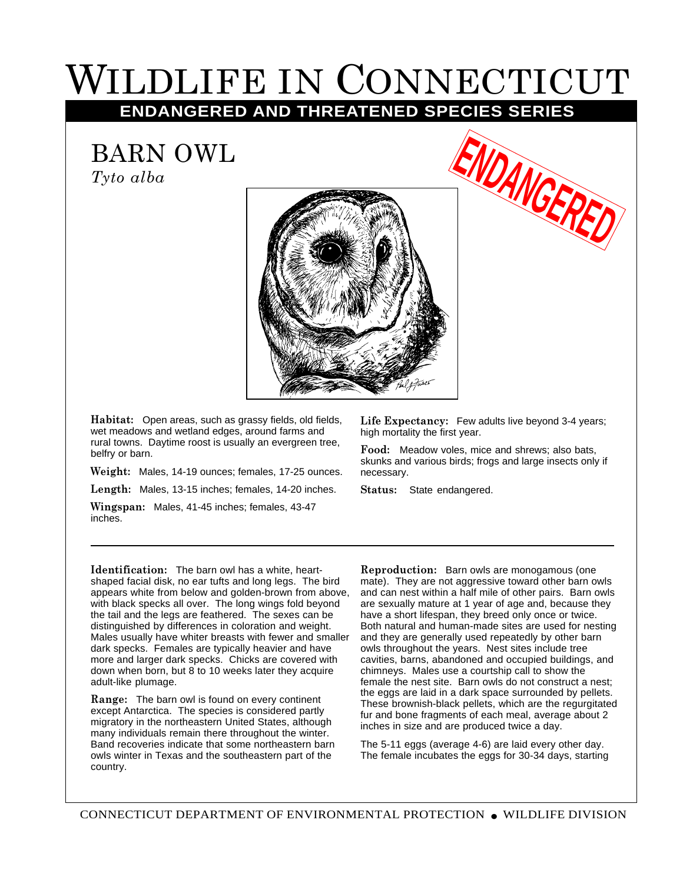## WILDLIFE IN CONNECTICUT **ENDANGERED AND THREATENED SPECIES SERIES**

BARN OWL

*Tyto alba*



**Habitat:** Open areas, such as grassy fields, old fields, wet meadows and wetland edges, around farms and rural towns. Daytime roost is usually an evergreen tree, belfry or barn.

**Weight:** Males, 14-19 ounces; females, 17-25 ounces.

**Length:** Males, 13-15 inches; females, 14-20 inches.

**Wingspan:** Males, 41-45 inches; females, 43-47 inches.

**Life Expectancy:** Few adults live beyond 3-4 years; high mortality the first year.

**ENDANGERED**

**Food:** Meadow voles, mice and shrews; also bats, skunks and various birds; frogs and large insects only if necessary.

**Status:** State endangered.

**Identification:** The barn owl has a white, heartshaped facial disk, no ear tufts and long legs. The bird appears white from below and golden-brown from above, with black specks all over. The long wings fold beyond the tail and the legs are feathered. The sexes can be distinguished by differences in coloration and weight. Males usually have whiter breasts with fewer and smaller dark specks. Females are typically heavier and have more and larger dark specks. Chicks are covered with down when born, but 8 to 10 weeks later they acquire adult-like plumage.

**Range:** The barn owl is found on every continent except Antarctica. The species is considered partly migratory in the northeastern United States, although many individuals remain there throughout the winter. Band recoveries indicate that some northeastern barn owls winter in Texas and the southeastern part of the country.

**Reproduction:** Barn owls are monogamous (one mate). They are not aggressive toward other barn owls and can nest within a half mile of other pairs. Barn owls are sexually mature at 1 year of age and, because they have a short lifespan, they breed only once or twice. Both natural and human-made sites are used for nesting and they are generally used repeatedly by other barn owls throughout the years. Nest sites include tree cavities, barns, abandoned and occupied buildings, and chimneys. Males use a courtship call to show the female the nest site. Barn owls do not construct a nest; the eggs are laid in a dark space surrounded by pellets. These brownish-black pellets, which are the regurgitated fur and bone fragments of each meal, average about 2 inches in size and are produced twice a day.

The 5-11 eggs (average 4-6) are laid every other day. The female incubates the eggs for 30-34 days, starting